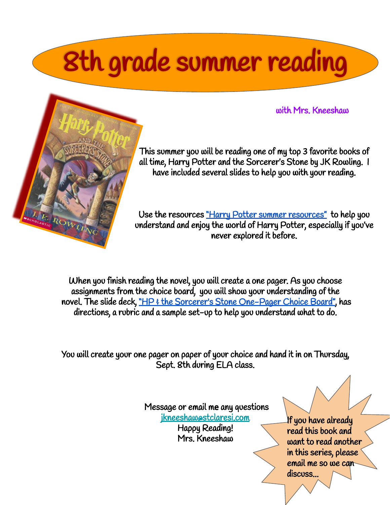## 8th grade summer reading

with Mrs. Kneeshaw



This summer you will be reading one of my top 3 favorite books of all time, Harry Potter and the Sorcerer's Stone by JK Rowling. I have included several slides to help you with your reading.

Use the resources ["Harry Potter summer resources"](https://docs.google.com/presentation/d/1aDlHuKQgcIQtTRO6qFfrRRpx2glD68oC27N7JJb7bc4/edit?usp=sharing) to help you understand and enjoy the world of Harry Potter, especially if you've never explored it before.

When you finish reading the novel, you will create a one pager. As you choose assignments from the choice board, you will show your understanding of the novel. The slide deck, ["HP & the Sorcerer's Stone One-Pager Choice Board",](https://docs.google.com/presentation/d/17WaU-szf4DLmX-vTRq6rwuOQWIzqcc76BTV4tIDjfeA/edit?usp=sharing) has directions, a rubric and a sample set-up to help you understand what to do.

You will create your one pager on paper of your choice and hand it in on Thursday, Sept. 8th during ELA class.

> Message or email me any questions [jkneeshaw@stclaresi.com](mailto:jkneeshaw@stclaresi.com) Happy Reading! Mrs. Kneeshaw

If you have already read this book and want to read another in this series, please email me so we can discuss...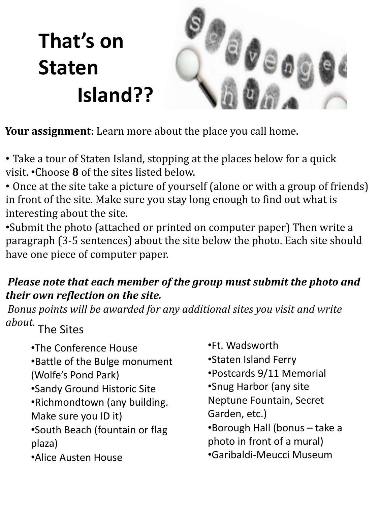## **That's on Staten Island??**



**Your assignment**: Learn more about the place you call home.

- Take a tour of Staten Island, stopping at the places below for a quick visit. •Choose **8** of the sites listed below.
- Once at the site take a picture of yourself (alone or with a group of friends) in front of the site. Make sure you stay long enough to find out what is interesting about the site.
- •Submit the photo (attached or printed on computer paper) Then write a paragraph (3-5 sentences) about the site below the photo. Each site should have one piece of computer paper.

## *Please note that each member of the group must submit the photo and their own reflection on the site.*

*Bonus points will be awarded for any additional sites you visit and write about.*

The Sites

- •The Conference House
- •Battle of the Bulge monument (Wolfe's Pond Park)
- •Sandy Ground Historic Site
- •Richmondtown (any building.
- Make sure you ID it)
- •South Beach (fountain or flag plaza)
- •Alice Austen House
- •Ft. Wadsworth
- •Staten Island Ferry
- •Postcards 9/11 Memorial
- •Snug Harbor (any site
- Neptune Fountain, Secret Garden, etc.)
- •Borough Hall (bonus take a photo in front of a mural)
- •Garibaldi-Meucci Museum